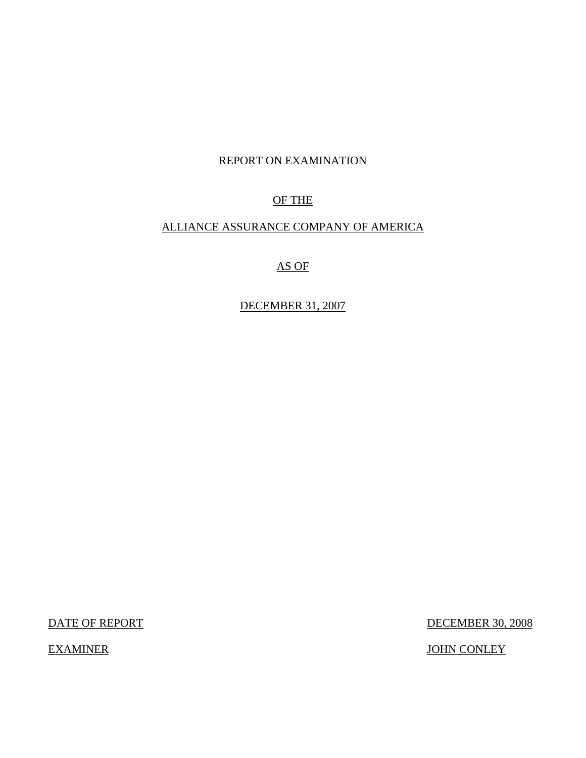# REPORT ON EXAMINATION

# OF THE

# ALLIANCE ASSURANCE COMPANY OF AMERICA

AS OF

DECEMBER 31, 2007

DATE OF REPORT DECEMBER 30, 2008

EXAMINER JOHN CONLEY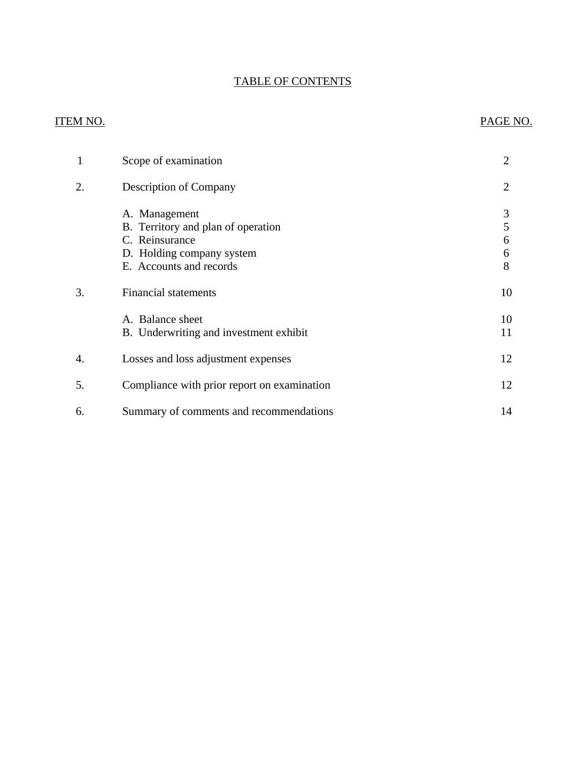# TABLE OF CONTENTS

# ITEM NO. PAGE NO.

| $\mathbf{1}$ | Scope of examination                                                                                                          | 2                     |
|--------------|-------------------------------------------------------------------------------------------------------------------------------|-----------------------|
| 2.           | Description of Company                                                                                                        | 2                     |
|              | A. Management<br>B. Territory and plan of operation<br>C. Reinsurance<br>D. Holding company system<br>E. Accounts and records | 3<br>5<br>6<br>6<br>8 |
| 3.           | <b>Financial statements</b>                                                                                                   | 10                    |
|              | A. Balance sheet<br>B. Underwriting and investment exhibit                                                                    | 10<br>11              |
| 4.           | Losses and loss adjustment expenses                                                                                           | 12                    |
| 5.           | Compliance with prior report on examination                                                                                   | 12                    |
| 6.           | Summary of comments and recommendations                                                                                       | 14                    |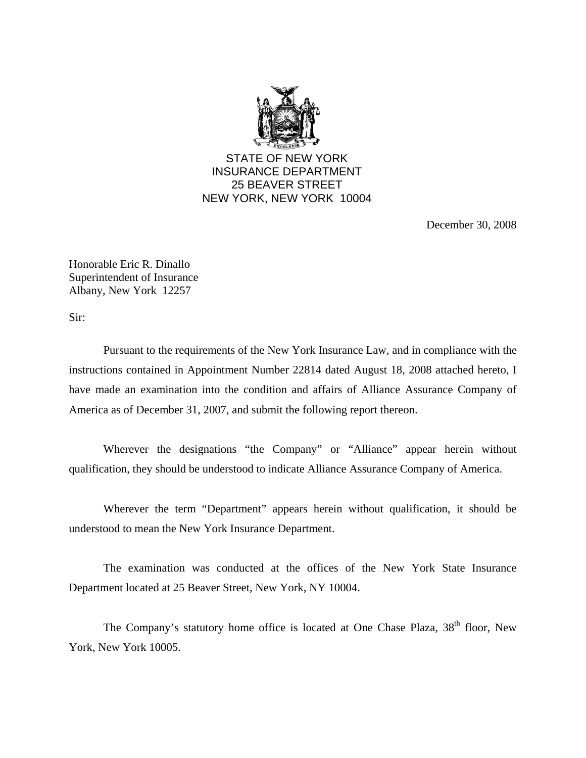

December 30, 2008

Honorable Eric R. Dinallo Superintendent of Insurance Albany, New York 12257

Sir:

Pursuant to the requirements of the New York Insurance Law, and in compliance with the instructions contained in Appointment Number 22814 dated August 18, 2008 attached hereto, I have made an examination into the condition and affairs of Alliance Assurance Company of America as of December 31, 2007, and submit the following report thereon.

Wherever the designations "the Company" or "Alliance" appear herein without qualification, they should be understood to indicate Alliance Assurance Company of America.

Wherever the term "Department" appears herein without qualification, it should be understood to mean the New York Insurance Department.

The examination was conducted at the offices of the New York State Insurance Department located at 25 Beaver Street, New York, NY 10004.

The Company's statutory home office is located at One Chase Plaza, 38<sup>th</sup> floor, New York, New York 10005.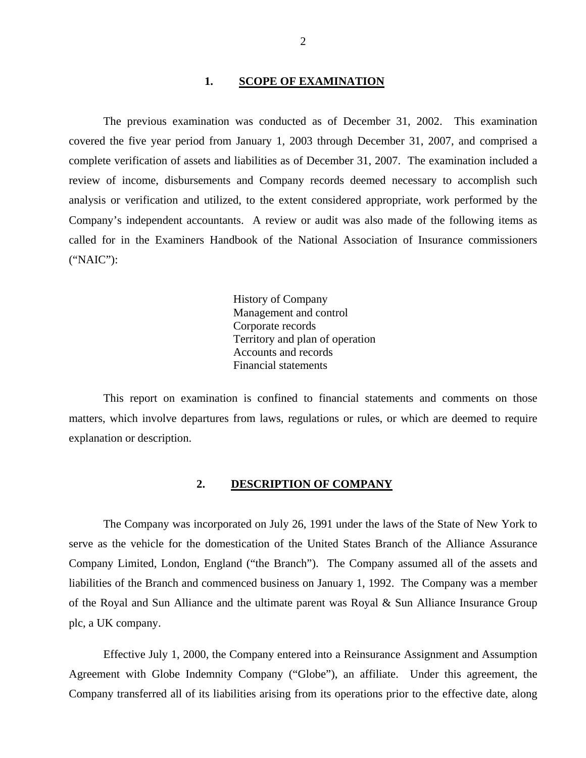## 1. **SCOPE OF EXAMINATION**

<span id="page-3-0"></span>The previous examination was conducted as of December 31, 2002. This examination covered the five year period from January 1, 2003 through December 31, 2007, and comprised a complete verification of assets and liabilities as of December 31, 2007. The examination included a review of income, disbursements and Company records deemed necessary to accomplish such analysis or verification and utilized, to the extent considered appropriate, work performed by the Company's independent accountants. A review or audit was also made of the following items as called for in the Examiners Handbook of the National Association of Insurance commissioners ("NAIC"):

> History of Company Management and control Corporate records Territory and plan of operation Accounts and records Financial statements

This report on examination is confined to financial statements and comments on those matters, which involve departures from laws, regulations or rules, or which are deemed to require explanation or description.

# **2. DESCRIPTION OF COMPANY**

The Company was incorporated on July 26, 1991 under the laws of the State of New York to serve as the vehicle for the domestication of the United States Branch of the Alliance Assurance Company Limited, London, England ("the Branch"). The Company assumed all of the assets and liabilities of the Branch and commenced business on January 1, 1992. The Company was a member of the Royal and Sun Alliance and the ultimate parent was Royal & Sun Alliance Insurance Group plc, a UK company.

Effective July 1, 2000, the Company entered into a Reinsurance Assignment and Assumption Agreement with Globe Indemnity Company ("Globe"), an affiliate. Under this agreement, the Company transferred all of its liabilities arising from its operations prior to the effective date, along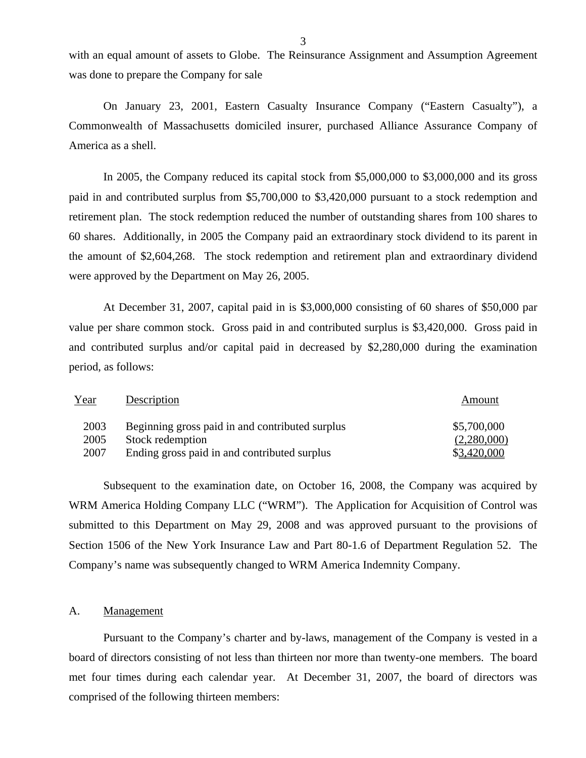with an equal amount of assets to Globe. The Reinsurance Assignment and Assumption Agreement was done to prepare the Company for sale

On January 23, 2001, Eastern Casualty Insurance Company ("Eastern Casualty"), a Commonwealth of Massachusetts domiciled insurer, purchased Alliance Assurance Company of America as a shell.

In 2005, the Company reduced its capital stock from \$5,000,000 to \$3,000,000 and its gross paid in and contributed surplus from \$5,700,000 to \$3,420,000 pursuant to a stock redemption and retirement plan. The stock redemption reduced the number of outstanding shares from 100 shares to 60 shares. Additionally, in 2005 the Company paid an extraordinary stock dividend to its parent in the amount of \$2,604,268. The stock redemption and retirement plan and extraordinary dividend were approved by the Department on May 26, 2005.

At December 31, 2007, capital paid in is \$3,000,000 consisting of 60 shares of \$50,000 par value per share common stock. Gross paid in and contributed surplus is \$3,420,000. Gross paid in and contributed surplus and/or capital paid in decreased by \$2,280,000 during the examination period, as follows:

| Year | Description                                     | Amount      |
|------|-------------------------------------------------|-------------|
| 2003 | Beginning gross paid in and contributed surplus | \$5,700,000 |
| 2005 | Stock redemption                                | (2,280,000) |
| 2007 | Ending gross paid in and contributed surplus    | \$3,420,000 |

Subsequent to the examination date, on October 16, 2008, the Company was acquired by WRM America Holding Company LLC ("WRM"). The Application for Acquisition of Control was submitted to this Department on May 29, 2008 and was approved pursuant to the provisions of Section 1506 of the New York Insurance Law and Part 80-1.6 of Department Regulation 52. The Company's name was subsequently changed to WRM America Indemnity Company.

## A. Management

Pursuant to the Company's charter and by-laws, management of the Company is vested in a board of directors consisting of not less than thirteen nor more than twenty-one members. The board met four times during each calendar year. At December 31, 2007, the board of directors was comprised of the following thirteen members: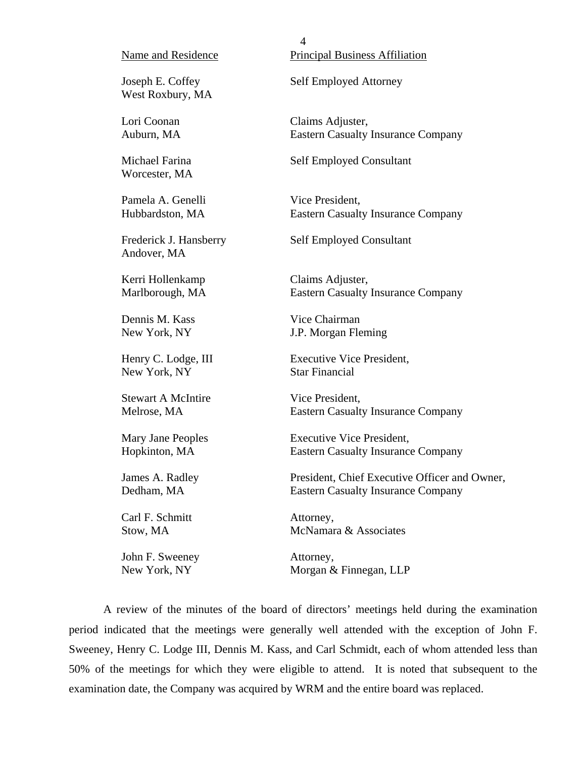West Roxbury, MA

Worcester, MA

Andover, MA

Kerri Hollenkamp Claims Adjuster,

Dennis M. Kass Vice Chairman

New York, NY Star Financial

Stewart A McIntire Vice President.

Carl F. Schmitt **Attorney**,

John F. Sweeney Attorney,

Name and Residence Principal Business Affiliation

Joseph E. Coffey Self Employed Attorney

4

Lori Coonan Claims Adjuster, Auburn, MA Eastern Casualty Insurance Company

Michael Farina Self Employed Consultant

Pamela A. Genelli Vice President, Hubbardston, MA Eastern Casualty Insurance Company

Frederick J. Hansberry Self Employed Consultant

Marlborough, MA Eastern Casualty Insurance Company

New York, NY **J.P.** Morgan Fleming

Henry C. Lodge, III Executive Vice President,

Melrose, MA Eastern Casualty Insurance Company

Mary Jane Peoples Executive Vice President, Hopkinton, MA Eastern Casualty Insurance Company

James A. Radley President, Chief Executive Officer and Owner, Dedham, MA Eastern Casualty Insurance Company

Stow, MA McNamara & Associates

New York, NY Morgan & Finnegan, LLP

A review of the minutes of the board of directors' meetings held during the examination period indicated that the meetings were generally well attended with the exception of John F. Sweeney, Henry C. Lodge III, Dennis M. Kass, and Carl Schmidt, each of whom attended less than 50% of the meetings for which they were eligible to attend. It is noted that subsequent to the examination date, the Company was acquired by WRM and the entire board was replaced.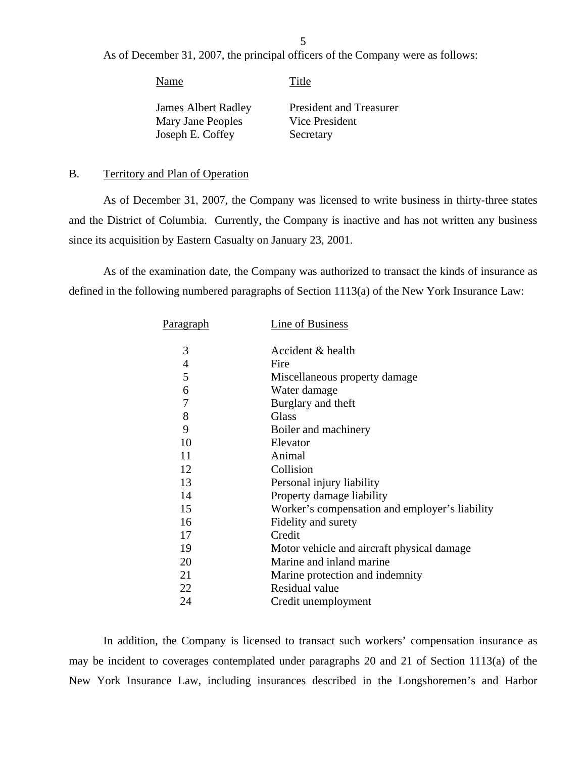As of December 31, 2007, the principal officers of the Company were as follows:

Name Title

James Albert Radley Mary Jane Peoples Joseph E. Coffey

President and Treasurer Vice President **Secretary** 

## B. Territory and Plan of Operation

As of December 31, 2007, the Company was licensed to write business in thirty-three states and the District of Columbia. Currently, the Company is inactive and has not written any business since its acquisition by Eastern Casualty on January 23, 2001.

As of the examination date, the Company was authorized to transact the kinds of insurance as defined in the following numbered paragraphs of Section 1113(a) of the New York Insurance Law:

| Paragraph | Line of Business                               |
|-----------|------------------------------------------------|
|           |                                                |
| 3         | Accident & health                              |
| 4         | Fire                                           |
| 5         | Miscellaneous property damage                  |
| 6         | Water damage                                   |
| 7         | Burglary and theft                             |
| 8         | <b>Glass</b>                                   |
| 9         | Boiler and machinery                           |
| 10        | Elevator                                       |
| 11        | Animal                                         |
| 12        | Collision                                      |
| 13        | Personal injury liability                      |
| 14        | Property damage liability                      |
| 15        | Worker's compensation and employer's liability |
| 16        | Fidelity and surety                            |
| 17        | Credit                                         |
| 19        | Motor vehicle and aircraft physical damage     |
| 20        | Marine and inland marine                       |
| 21        | Marine protection and indemnity                |
| 22        | Residual value                                 |
| 24        | Credit unemployment                            |

In addition, the Company is licensed to transact such workers' compensation insurance as may be incident to coverages contemplated under paragraphs 20 and 21 of Section 1113(a) of the New York Insurance Law, including insurances described in the Longshoremen's and Harbor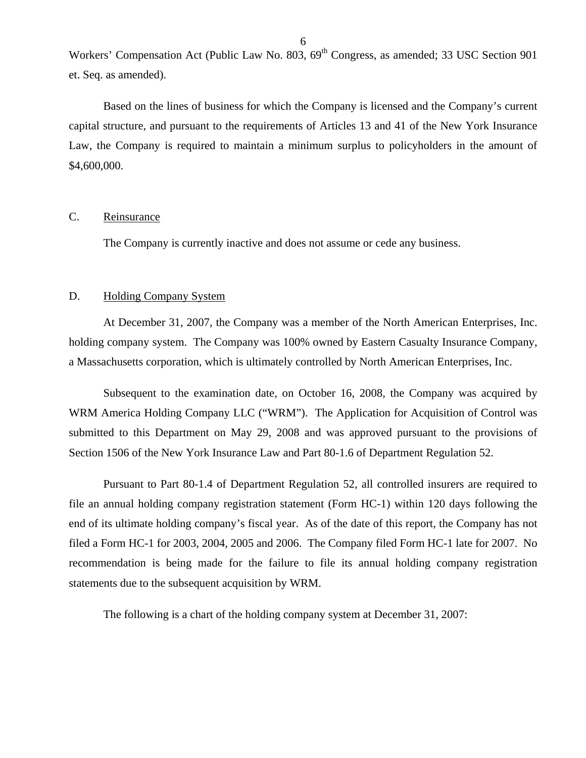<span id="page-7-0"></span>Workers' Compensation Act (Public Law No. 803, 69<sup>th</sup> Congress, as amended; 33 USC Section 901 et. Seq. as amended).

Based on the lines of business for which the Company is licensed and the Company's current capital structure, and pursuant to the requirements of Articles 13 and 41 of the New York Insurance Law, the Company is required to maintain a minimum surplus to policyholders in the amount of \$4,600,000.

## C. Reinsurance

The Company is currently inactive and does not assume or cede any business.

## D. Holding Company System

At December 31, 2007, the Company was a member of the North American Enterprises, Inc. holding company system. The Company was 100% owned by Eastern Casualty Insurance Company, a Massachusetts corporation, which is ultimately controlled by North American Enterprises, Inc.

Subsequent to the examination date, on October 16, 2008, the Company was acquired by WRM America Holding Company LLC ("WRM"). The Application for Acquisition of Control was submitted to this Department on May 29, 2008 and was approved pursuant to the provisions of Section 1506 of the New York Insurance Law and Part 80-1.6 of Department Regulation 52.

Pursuant to Part 80-1.4 of Department Regulation 52, all controlled insurers are required to file an annual holding company registration statement (Form HC-1) within 120 days following the end of its ultimate holding company's fiscal year. As of the date of this report, the Company has not filed a Form HC-1 for 2003, 2004, 2005 and 2006. The Company filed Form HC-1 late for 2007. No recommendation is being made for the failure to file its annual holding company registration statements due to the subsequent acquisition by WRM.

The following is a chart of the holding company system at December 31, 2007: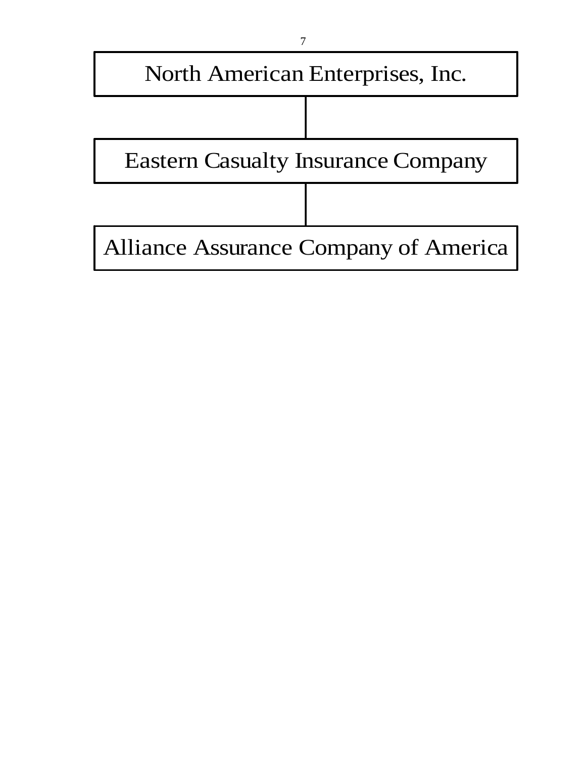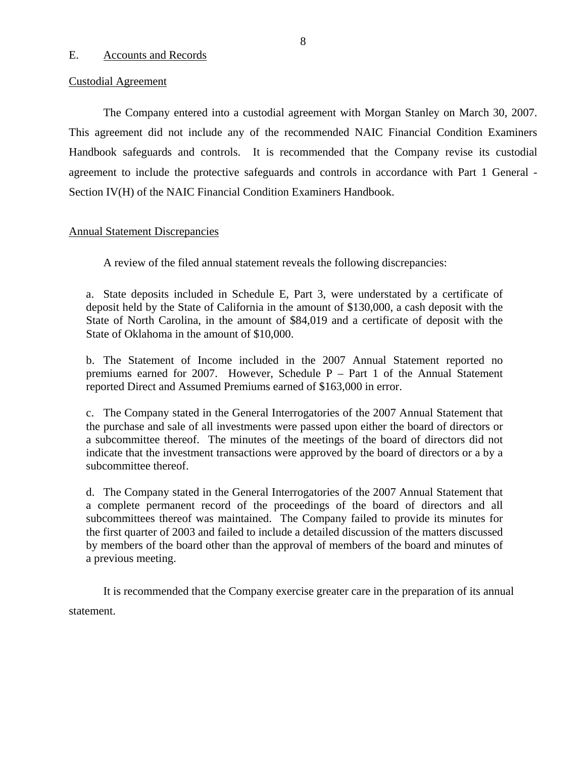## <span id="page-9-0"></span>E. Accounts and Records

### Custodial Agreement

The Company entered into a custodial agreement with Morgan Stanley on March 30, 2007. This agreement did not include any of the recommended NAIC Financial Condition Examiners Handbook safeguards and controls. It is recommended that the Company revise its custodial agreement to include the protective safeguards and controls in accordance with Part 1 General - Section IV(H) of the NAIC Financial Condition Examiners Handbook.

## Annual Statement Discrepancies

A review of the filed annual statement reveals the following discrepancies:

a. State deposits included in Schedule E, Part 3, were understated by a certificate of deposit held by the State of California in the amount of \$130,000, a cash deposit with the State of North Carolina, in the amount of \$84,019 and a certificate of deposit with the State of Oklahoma in the amount of \$10,000.

b. The Statement of Income included in the 2007 Annual Statement reported no premiums earned for 2007. However, Schedule P – Part 1 of the Annual Statement reported Direct and Assumed Premiums earned of \$163,000 in error.

c. The Company stated in the General Interrogatories of the 2007 Annual Statement that the purchase and sale of all investments were passed upon either the board of directors or a subcommittee thereof. The minutes of the meetings of the board of directors did not indicate that the investment transactions were approved by the board of directors or a by a subcommittee thereof.

d. The Company stated in the General Interrogatories of the 2007 Annual Statement that a complete permanent record of the proceedings of the board of directors and all subcommittees thereof was maintained. The Company failed to provide its minutes for the first quarter of 2003 and failed to include a detailed discussion of the matters discussed by members of the board other than the approval of members of the board and minutes of a previous meeting.

It is recommended that the Company exercise greater care in the preparation of its annual statement.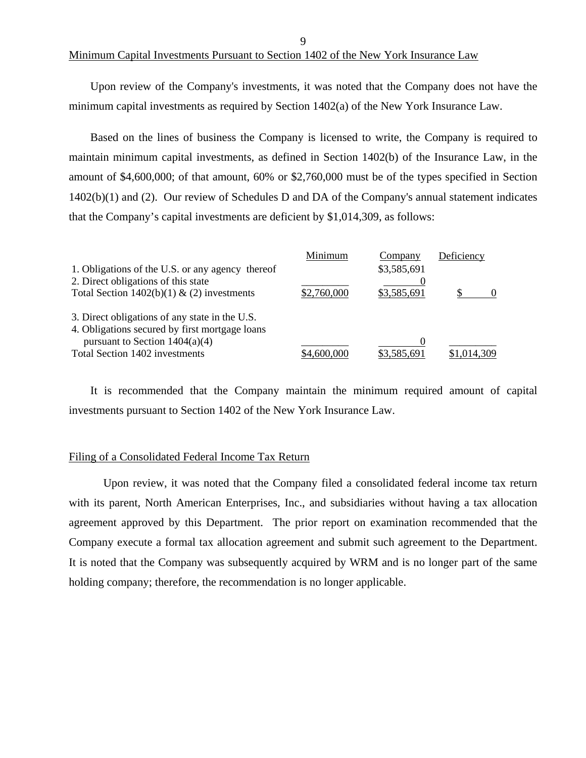## Minimum Capital Investments Pursuant to Section 1402 of the New York Insurance Law

Upon review of the Company's investments, it was noted that the Company does not have the minimum capital investments as required by Section 1402(a) of the New York Insurance Law.

Based on the lines of business the Company is licensed to write, the Company is required to maintain minimum capital investments, as defined in Section 1402(b) of the Insurance Law, in the amount of \$4,600,000; of that amount, 60% or \$2,760,000 must be of the types specified in Section 1402(b)(1) and (2). Our review of Schedules D and DA of the Company's annual statement indicates that the Company's capital investments are deficient by \$1,014,309, as follows:

|                                                  | Minimum     | Company     | Deficiency  |
|--------------------------------------------------|-------------|-------------|-------------|
| 1. Obligations of the U.S. or any agency thereof |             | \$3,585,691 |             |
| 2. Direct obligations of this state              |             |             |             |
| Total Section $1402(b)(1)$ & (2) investments     | \$2,760,000 | \$3,585,691 |             |
| 3. Direct obligations of any state in the U.S.   |             |             |             |
| 4. Obligations secured by first mortgage loans   |             |             |             |
| pursuant to Section $1404(a)(4)$                 |             |             |             |
| Total Section 1402 investments                   | \$4,600,000 | \$3,585,691 | \$1,014,309 |

It is recommended that the Company maintain the minimum required amount of capital investments pursuant to Section 1402 of the New York Insurance Law.

## Filing of a Consolidated Federal Income Tax Return

Upon review, it was noted that the Company filed a consolidated federal income tax return with its parent, North American Enterprises, Inc., and subsidiaries without having a tax allocation agreement approved by this Department. The prior report on examination recommended that the Company execute a formal tax allocation agreement and submit such agreement to the Department. It is noted that the Company was subsequently acquired by WRM and is no longer part of the same holding company; therefore, the recommendation is no longer applicable.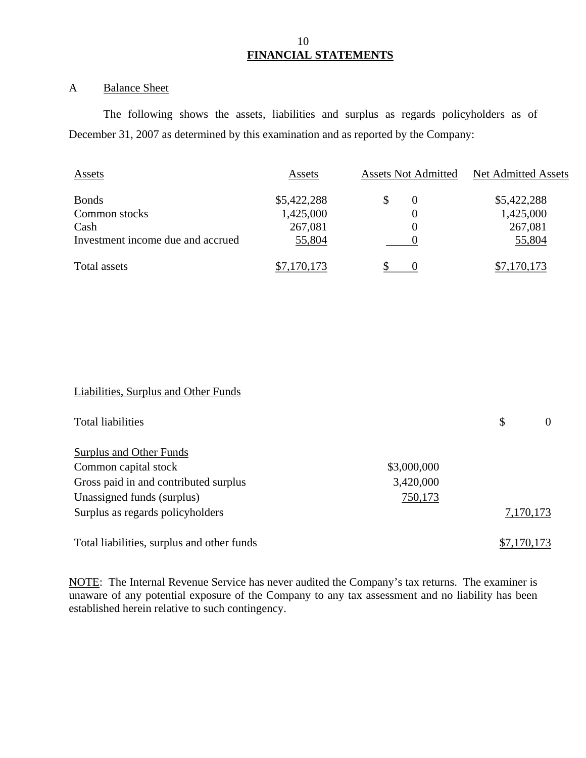## 10  **FINANCIAL STATEMENTS**

# A Balance Sheet

The following shows the assets, liabilities and surplus as regards policyholders as of December 31, 2007 as determined by this examination and as reported by the Company:

| <b>Assets</b>                     | Assets      | <b>Assets Not Admitted</b> | Net Admitted Assets |  |
|-----------------------------------|-------------|----------------------------|---------------------|--|
| <b>Bonds</b>                      | \$5,422,288 | $\theta$                   | \$5,422,288         |  |
| Common stocks                     | 1,425,000   |                            | 1,425,000           |  |
| Cash                              | 267,081     |                            | 267,081             |  |
| Investment income due and accrued | 55,804      |                            | 55,804              |  |
| Total assets                      | \$7,170,173 |                            | \$7,170,173         |  |

# Liabilities, Surplus and Other Funds

| Total liabilities                          |             | \$<br>$\theta$ |
|--------------------------------------------|-------------|----------------|
| Surplus and Other Funds                    |             |                |
| Common capital stock                       | \$3,000,000 |                |
| Gross paid in and contributed surplus      | 3,420,000   |                |
| Unassigned funds (surplus)                 | 750,173     |                |
| Surplus as regards policyholders           |             | 7,170,173      |
| Total liabilities, surplus and other funds |             | \$7,170,173    |

NOTE: The Internal Revenue Service has never audited the Company's tax returns. The examiner is unaware of any potential exposure of the Company to any tax assessment and no liability has been established herein relative to such contingency.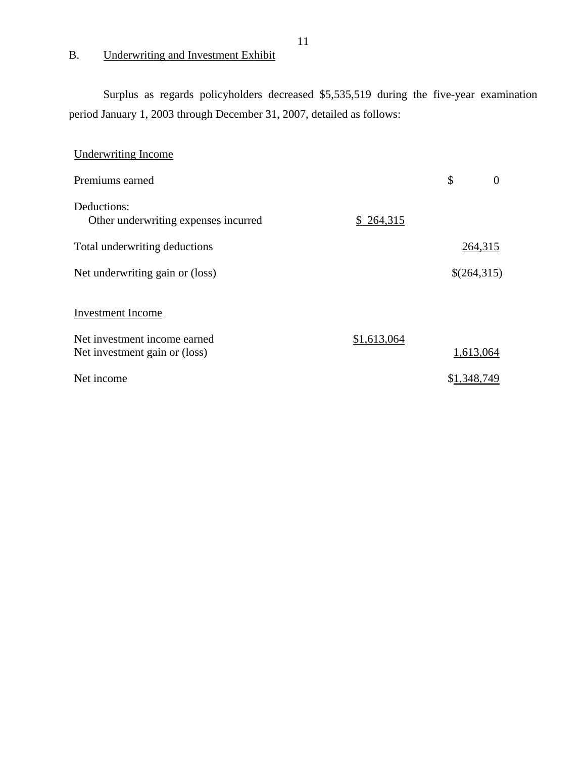# B. Underwriting and Investment Exhibit

Surplus as regards policyholders decreased \$5,535,519 during the five-year examination period January 1, 2003 through December 31, 2007, detailed as follows:

| <b>Underwriting Income</b>                                    |             |             |                |
|---------------------------------------------------------------|-------------|-------------|----------------|
| Premiums earned                                               |             | \$          | $\overline{0}$ |
| Deductions:<br>Other underwriting expenses incurred           | \$264,315   |             |                |
| Total underwriting deductions                                 |             | 264,315     |                |
| Net underwriting gain or (loss)                               |             | \$(264,315) |                |
| <b>Investment Income</b>                                      |             |             |                |
| Net investment income earned<br>Net investment gain or (loss) | \$1,613,064 | 1,613,064   |                |
| Net income                                                    |             | \$1,348,749 |                |

11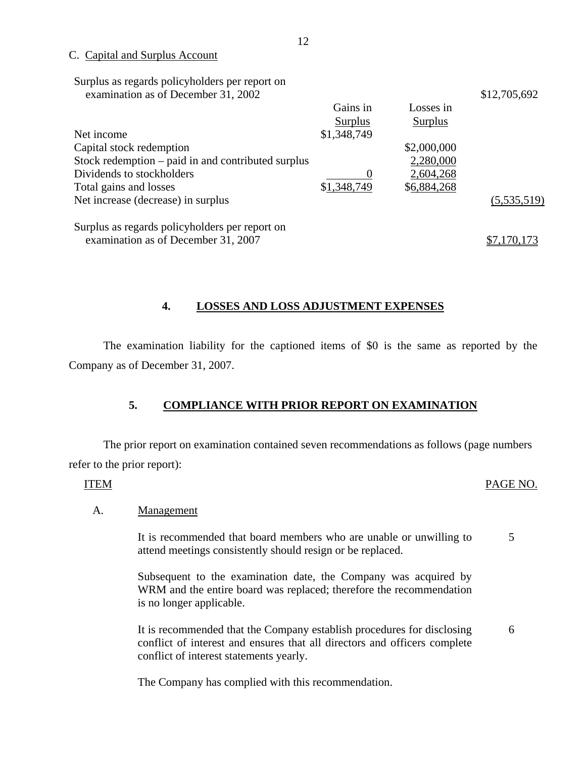## C. Capital and Surplus Account

Surplus as regards policyholders per report on examination as of December 31, 2002 \$12,705,692

| Net income<br>Capital stock redemption<br>Stock redemption – paid in and contributed surplus<br>Dividends to stockholders<br>Total gains and losses | Gains in<br><b>Surplus</b><br>\$1,348,749<br>\$1,348,749 | Losses in<br><b>Surplus</b><br>\$2,000,000<br>2,280,000<br>2,604,268<br>\$6,884,268 |             |
|-----------------------------------------------------------------------------------------------------------------------------------------------------|----------------------------------------------------------|-------------------------------------------------------------------------------------|-------------|
| Net increase (decrease) in surplus                                                                                                                  |                                                          |                                                                                     | (5,535,519) |
| Surplus as regards policyholders per report on<br>examination as of December 31, 2007                                                               |                                                          |                                                                                     | \$7,170,173 |

# **4. LOSSES AND LOSS ADJUSTMENT EXPENSES**

The examination liability for the captioned items of \$0 is the same as reported by the Company as of December 31, 2007.

# **5. COMPLIANCE WITH PRIOR REPORT ON EXAMINATION**

The prior report on examination contained seven recommendations as follows (page numbers refer to the prior report):

## ITEM PAGE NO.

## A. Management

It is recommended that board members who are unable or unwilling to attend meetings consistently should resign or be replaced. 5

Subsequent to the examination date, the Company was acquired by WRM and the entire board was replaced; therefore the recommendation is no longer applicable.

It is recommended that the Company establish procedures for disclosing conflict of interest and ensures that all directors and officers complete conflict of interest statements yearly. 6

The Company has complied with this recommendation.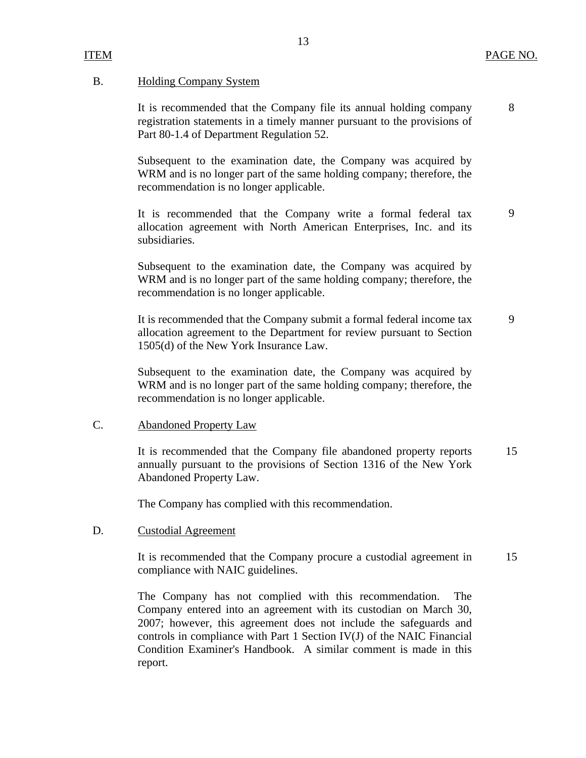9

## B. Holding Company System

It is recommended that the Company file its annual holding company registration statements in a timely manner pursuant to the provisions of Part 80-1.4 of Department Regulation 52.

Subsequent to the examination date, the Company was acquired by WRM and is no longer part of the same holding company; therefore, the recommendation is no longer applicable.

It is recommended that the Company write a formal federal tax allocation agreement with North American Enterprises, Inc. and its subsidiaries.

Subsequent to the examination date, the Company was acquired by WRM and is no longer part of the same holding company; therefore, the recommendation is no longer applicable.

It is recommended that the Company submit a formal federal income tax allocation agreement to the Department for review pursuant to Section 1505(d) of the New York Insurance Law. 9

Subsequent to the examination date, the Company was acquired by WRM and is no longer part of the same holding company; therefore, the recommendation is no longer applicable.

## C. Abandoned Property Law

It is recommended that the Company file abandoned property reports annually pursuant to the provisions of Section 1316 of the New York Abandoned Property Law. 15

The Company has complied with this recommendation.

## D. Custodial Agreement

It is recommended that the Company procure a custodial agreement in compliance with NAIC guidelines. 15

The Company has not complied with this recommendation. The Company entered into an agreement with its custodian on March 30, 2007; however, this agreement does not include the safeguards and controls in compliance with Part 1 Section IV(J) of the NAIC Financial Condition Examiner's Handbook. A similar comment is made in this report.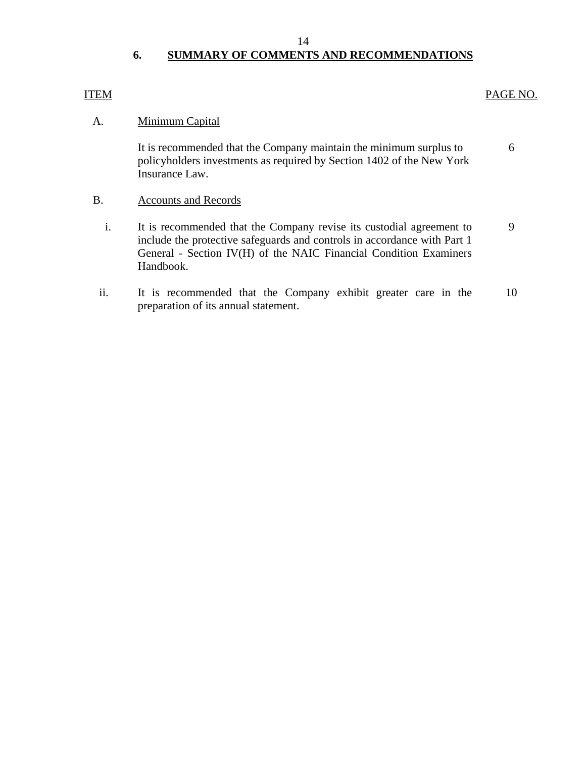# **6. SUMMARY OF COMMENTS AND RECOMMENDATIONS**

# <span id="page-15-0"></span>ITEM PAGE NO.

# A. Minimum Capital

It is recommended that the Company maintain the minimum surplus to 6 policyholders investments as required by Section 1402 of the New York Insurance Law.

- B. Accounts and Records
	- i. It is recommended that the Company revise its custodial agreement to 9 include the protective safeguards and controls in accordance with Part 1 General - Section IV(H) of the NAIC Financial Condition Examiners Handbook.
- ii. It is recommended that the Company exhibit greater care in the 10 preparation of its annual statement.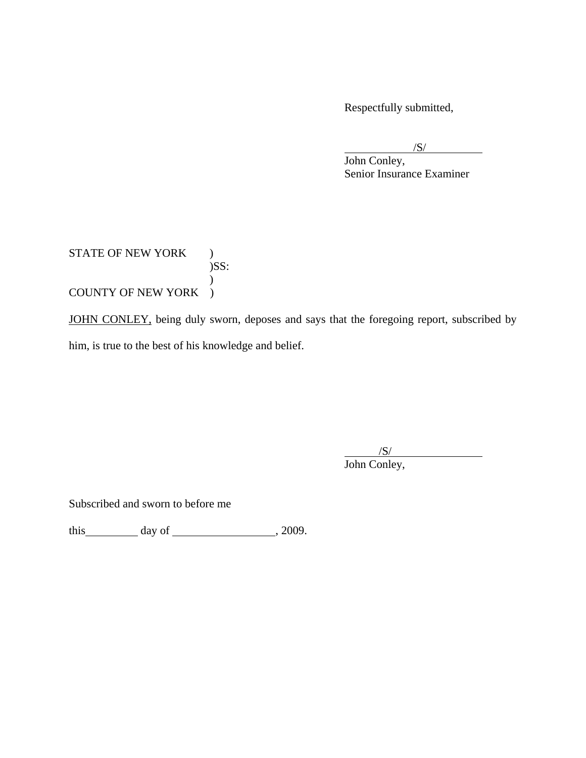Respectfully submitted,

 $\sqrt{S}$ /

 John Conley, Senior Insurance Examiner

STATE OF NEW YORK )  $)$ SS:  $\mathcal{L}$ COUNTY OF NEW YORK )

JOHN CONLEY, being duly sworn, deposes and says that the foregoing report, subscribed by him, is true to the best of his knowledge and belief.

 $\overline{\phantom{a}}$ /S/ John Conley,

Subscribed and sworn to before me

this  $\qquad \qquad$  day of  $\qquad \qquad$  , 2009.